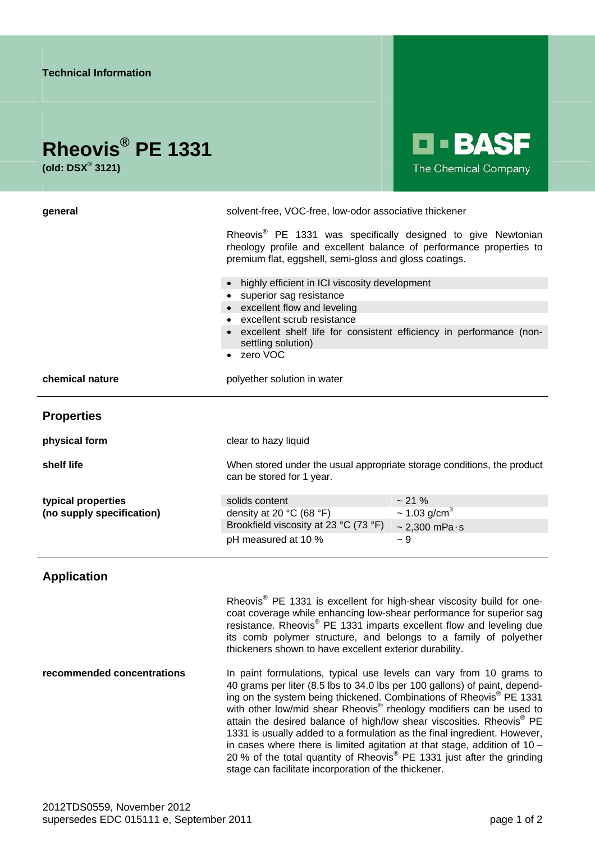|                                                                                                                                                                                                                                                                                                                                                                                                                                                                                                                                 | <b>LI-BASF</b><br>The Chemical Company                            |
|---------------------------------------------------------------------------------------------------------------------------------------------------------------------------------------------------------------------------------------------------------------------------------------------------------------------------------------------------------------------------------------------------------------------------------------------------------------------------------------------------------------------------------|-------------------------------------------------------------------|
| solvent-free, VOC-free, low-odor associative thickener<br>Rheovis <sup>®</sup> PE 1331 was specifically designed to give Newtonian<br>rheology profile and excellent balance of performance properties to<br>premium flat, eggshell, semi-gloss and gloss coatings.<br>highly efficient in ICI viscosity development<br>• superior sag resistance<br>• excellent flow and leveling<br>• excellent scrub resistance<br>• excellent shelf life for consistent efficiency in performance (non-<br>settling solution)<br>• zero VOC |                                                                   |
| polyether solution in water                                                                                                                                                                                                                                                                                                                                                                                                                                                                                                     |                                                                   |
|                                                                                                                                                                                                                                                                                                                                                                                                                                                                                                                                 |                                                                   |
| clear to hazy liquid                                                                                                                                                                                                                                                                                                                                                                                                                                                                                                            |                                                                   |
| When stored under the usual appropriate storage conditions, the product<br>can be stored for 1 year.                                                                                                                                                                                                                                                                                                                                                                                                                            |                                                                   |
| solids content                                                                                                                                                                                                                                                                                                                                                                                                                                                                                                                  | ~21%                                                              |
|                                                                                                                                                                                                                                                                                                                                                                                                                                                                                                                                 | $\sim$ 1.03 g/cm <sup>3</sup><br>$\sim$ 2,300 mPa $\cdot$ s       |
| pH measured at 10 %                                                                                                                                                                                                                                                                                                                                                                                                                                                                                                             | $~1$ 9                                                            |
| Rheovis <sup>®</sup> PE 1331 is excellent for high-shear viscosity build for one-<br>coat coverage while enhancing low-shear performance for superior sag<br>resistance. Rheovis <sup>®</sup> PE 1331 imparts excellent flow and leveling due<br>its comb polymer structure, and belongs to a family of polyether<br>thickeners shown to have excellent exterior durability.                                                                                                                                                    |                                                                   |
|                                                                                                                                                                                                                                                                                                                                                                                                                                                                                                                                 | density at 20 °C (68 °F)<br>Brookfield viscosity at 23 °C (73 °F) |

**recommended concentrations In paint formulations, typical use levels can vary from 10 grams to** 40 grams per liter (8.5 lbs to 34.0 lbs per 100 gallons) of paint, depending on the system being thickened. Combinations of Rheovis® PE 1331 with other low/mid shear Rheovis® rheology modifiers can be used to attain the desired balance of high/low shear viscosities. Rheovis® PE 1331 is usually added to a formulation as the final ingredient. However, in cases where there is limited agitation at that stage, addition of 10 – 20 % of the total quantity of Rheovis® PE 1331 just after the grinding stage can facilitate incorporation of the thickener.